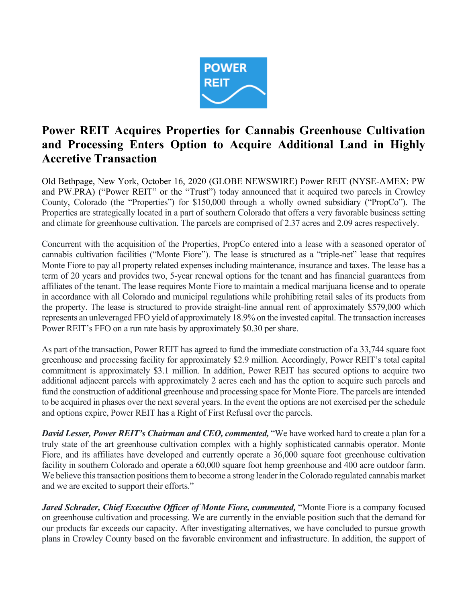

# **Power REIT Acquires Properties for Cannabis Greenhouse Cultivation and Processing Enters Option to Acquire Additional Land in Highly Accretive Transaction**

Old Bethpage, New York, October 16, 2020 (GLOBE NEWSWIRE) Power REIT (NYSE-AMEX: PW and PW.PRA) ("Power REIT" or the "Trust") today announced that it acquired two parcels in Crowley County, Colorado (the "Properties") for \$150,000 through a wholly owned subsidiary ("PropCo"). The Properties are strategically located in a part of southern Colorado that offers a very favorable business setting and climate for greenhouse cultivation. The parcels are comprised of 2.37 acres and 2.09 acres respectively.

Concurrent with the acquisition of the Properties, PropCo entered into a lease with a seasoned operator of cannabis cultivation facilities ("Monte Fiore"). The lease is structured as a "triple-net" lease that requires Monte Fiore to pay all property related expenses including maintenance, insurance and taxes. The lease has a term of 20 years and provides two, 5-year renewal options for the tenant and has financial guarantees from affiliates of the tenant. The lease requires Monte Fiore to maintain a medical marijuana license and to operate in accordance with all Colorado and municipal regulations while prohibiting retail sales of its products from the property. The lease is structured to provide straight-line annual rent of approximately \$579,000 which represents an unleveraged FFO yield of approximately 18.9% on the invested capital. The transaction increases Power REIT's FFO on a run rate basis by approximately \$0.30 per share.

As part of the transaction, Power REIT has agreed to fund the immediate construction of a 33,744 square foot greenhouse and processing facility for approximately \$2.9 million. Accordingly, Power REIT's total capital commitment is approximately \$3.1 million. In addition, Power REIT has secured options to acquire two additional adjacent parcels with approximately 2 acres each and has the option to acquire such parcels and fund the construction of additional greenhouse and processing space for Monte Fiore. The parcels are intended to be acquired in phases over the next several years. In the event the options are not exercised per the schedule and options expire, Power REIT has a Right of First Refusal over the parcels.

*David Lesser, Power REIT's Chairman and CEO, commented,* "We have worked hard to create a plan for a truly state of the art greenhouse cultivation complex with a highly sophisticated cannabis operator. Monte Fiore, and its affiliates have developed and currently operate a 36,000 square foot greenhouse cultivation facility in southern Colorado and operate a 60,000 square foot hemp greenhouse and 400 acre outdoor farm. We believe this transaction positions them to become a strong leader in the Colorado regulated cannabis market and we are excited to support their efforts."

*Jared Schrader, Chief Executive Officer of Monte Fiore, commented,* "Monte Fiore is a company focused on greenhouse cultivation and processing. We are currently in the enviable position such that the demand for our products far exceeds our capacity. After investigating alternatives, we have concluded to pursue growth plans in Crowley County based on the favorable environment and infrastructure. In addition, the support of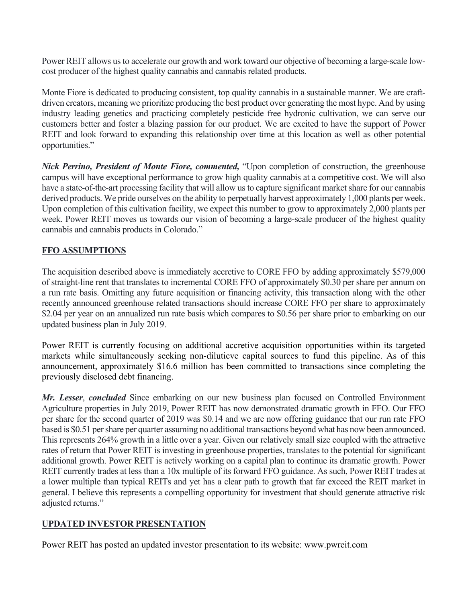Power REIT allows us to accelerate our growth and work toward our objective of becoming a large-scale lowcost producer of the highest quality cannabis and cannabis related products.

Monte Fiore is dedicated to producing consistent, top quality cannabis in a sustainable manner. We are craftdriven creators, meaning we prioritize producing the best product over generating the most hype. And by using industry leading genetics and practicing completely pesticide free hydronic cultivation, we can serve our customers better and foster a blazing passion for our product. We are excited to have the support of Power REIT and look forward to expanding this relationship over time at this location as well as other potential opportunities."

*Nick Perrino, President of Monte Fiore, commented,* "Upon completion of construction, the greenhouse campus will have exceptional performance to grow high quality cannabis at a competitive cost. We will also have a state-of-the-art processing facility that will allow us to capture significant market share for our cannabis derived products. We pride ourselves on the ability to perpetually harvest approximately 1,000 plants per week. Upon completion of this cultivation facility, we expect this number to grow to approximately 2,000 plants per week. Power REIT moves us towards our vision of becoming a large-scale producer of the highest quality cannabis and cannabis products in Colorado."

#### **FFO ASSUMPTIONS**

The acquisition described above is immediately accretive to CORE FFO by adding approximately \$579,000 of straight-line rent that translates to incremental CORE FFO of approximately \$0.30 per share per annum on a run rate basis. Omitting any future acquisition or financing activity, this transaction along with the other recently announced greenhouse related transactions should increase CORE FFO per share to approximately \$2.04 per year on an annualized run rate basis which compares to \$0.56 per share prior to embarking on our updated business plan in July 2019.

Power REIT is currently focusing on additional accretive acquisition opportunities within its targeted markets while simultaneously seeking non-diluticve capital sources to fund this pipeline. As of this announcement, approximately \$16.6 million has been committed to transactions since completing the previously disclosed debt financing.

*Mr. Lesser*, *concluded* Since embarking on our new business plan focused on Controlled Environment Agriculture properties in July 2019, Power REIT has now demonstrated dramatic growth in FFO. Our FFO per share for the second quarter of 2019 was \$0.14 and we are now offering guidance that our run rate FFO based is \$0.51 per share per quarter assuming no additional transactions beyond what has now been announced. This represents 264% growth in a little over a year. Given our relatively small size coupled with the attractive rates of return that Power REIT is investing in greenhouse properties, translates to the potential for significant additional growth. Power REIT is actively working on a capital plan to continue its dramatic growth. Power REIT currently trades at less than a 10x multiple of its forward FFO guidance. As such, Power REIT trades at a lower multiple than typical REITs and yet has a clear path to growth that far exceed the REIT market in general. I believe this represents a compelling opportunity for investment that should generate attractive risk adjusted returns."

# **UPDATED INVESTOR PRESENTATION**

Power REIT has posted an updated investor presentation to its website: www.pwreit.com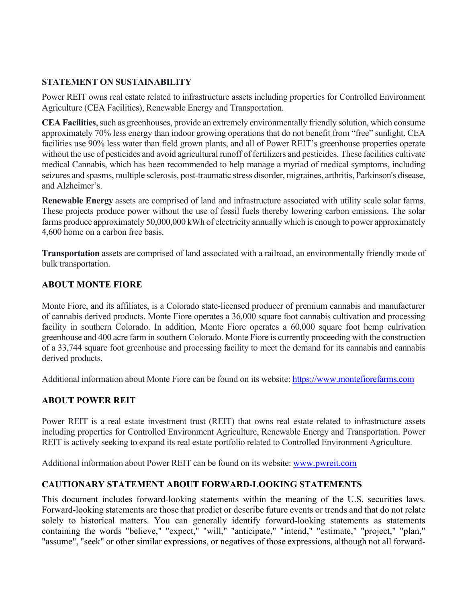### **STATEMENT ON SUSTAINABILITY**

Power REIT owns real estate related to infrastructure assets including properties for Controlled Environment Agriculture (CEA Facilities), Renewable Energy and Transportation.

**CEA Facilities**, such as greenhouses, provide an extremely environmentally friendly solution, which consume approximately 70% less energy than indoor growing operations that do not benefit from "free" sunlight. CEA facilities use 90% less water than field grown plants, and all of Power REIT's greenhouse properties operate without the use of pesticides and avoid agricultural runoff of fertilizers and pesticides. These facilities cultivate medical Cannabis, which has been recommended to help manage a myriad of medical symptoms, including seizures and spasms, multiple sclerosis, post-traumatic stress disorder, migraines, arthritis, Parkinson's disease, and Alzheimer's.

**Renewable Energy** assets are comprised of land and infrastructure associated with utility scale solar farms. These projects produce power without the use of fossil fuels thereby lowering carbon emissions. The solar farms produce approximately 50,000,000 kWh of electricity annually which is enough to power approximately 4,600 home on a carbon free basis.

**Transportation** assets are comprised of land associated with a railroad, an environmentally friendly mode of bulk transportation.

#### **ABOUT MONTE FIORE**

Monte Fiore, and its affiliates, is a Colorado state-licensed producer of premium cannabis and manufacturer of cannabis derived products. Monte Fiore operates a 36,000 square foot cannabis cultivation and processing facility in southern Colorado. In addition, Monte Fiore operates a 60,000 square foot hemp culrivation greenhouse and 400 acre farm in southern Colorado. Monte Fiore is currently proceeding with the construction of a 33,744 square foot greenhouse and processing facility to meet the demand for its cannabis and cannabis derived products.

Additional information about Monte Fiore can be found on its website: https://www.montefiorefarms.com

# **ABOUT POWER REIT**

Power REIT is a real estate investment trust (REIT) that owns real estate related to infrastructure assets including properties for Controlled Environment Agriculture, Renewable Energy and Transportation. Power REIT is actively seeking to expand its real estate portfolio related to Controlled Environment Agriculture.

Additional information about Power REIT can be found on its website: www.pwreit.com

# **CAUTIONARY STATEMENT ABOUT FORWARD-LOOKING STATEMENTS**

This document includes forward-looking statements within the meaning of the U.S. securities laws. Forward-looking statements are those that predict or describe future events or trends and that do not relate solely to historical matters. You can generally identify forward-looking statements as statements containing the words "believe," "expect," "will," "anticipate," "intend," "estimate," "project," "plan," "assume", "seek" or other similar expressions, or negatives of those expressions, although not all forward